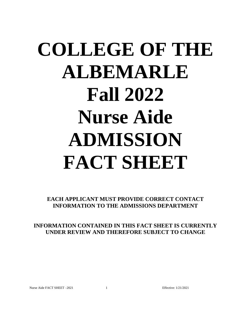# **COLLEGE OF THE ALBEMARLE Fall 2022 Nurse Aide ADMISSION FACT SHEET**

**EACH APPLICANT MUST PROVIDE CORRECT CONTACT INFORMATION TO THE ADMISSIONS DEPARTMENT**

**INFORMATION CONTAINED IN THIS FACT SHEET IS CURRENTLY UNDER REVIEW AND THEREFORE SUBJECT TO CHANGE**

Nurse Aide FACT SHEET –2021 1 1 Effective: 1/21/2021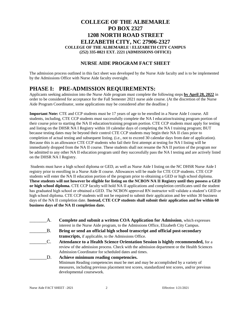## **COLLEGE OF THE ALBEMARLE PO BOX 2327 1208 NORTH ROAD STREET ELIZABETH CITY, NC 27906-2327 COLLEGE OF THE ALBEMARLE \ ELIZABETH CITY CAMPUS (252) 335-0821 EXT. 2221 (ADMISSIONS OFFICE)**

## **NURSE AIDE PROGRAM FACT SHEET**

The admission process outlined in this fact sheet was developed by the Nurse Aide faculty and is to be implemented by the Admissions Office with Nurse Aide faculty oversight.

## **PHASE I: PRE-ADMISSION REQUIREMENTS:**

Applicants seeking admission into the Nurse Aide program must complete the following steps **by April 28, 2022** in order to be considered for acceptance for the Fall Semester 2021 nurse aide course. (At the discretion of the Nurse Aide Program Coordinator, some applications may be considered after the deadline.)

**Important Note:** CTE and CCP students must be 17 years of age to be enrolled in a Nurse Aide I course. All students, including, CTE CCP students must successfully complete the NA I education/training program portion of their course prior to starting the NA II education/training program portion. CTE CCP students must apply for testing and listing on the DHSR NA I Registry within 10 calendar days of completing the NA I training program; BUT because testing dates may be beyond their control CTE CCP students may begin their NA II class prior to completion of actual testing and subsequent listing. (i.e., not to exceed 30 calendar days from date of application). Because this is an allowance CTE CCP students who fail their first attempt at testing for NA I listing will be immediately dropped from the NA II course. These students shall not resume the NA II portion of the program nor be admitted to any other NA II education program until they successfully pass the NA I testing and are actively listed on the DHSR NA I Registry.

Students must have a high school diploma or GED, as well as Nurse Aide I listing on the NC DHSR Nurse Aide I registry prior to enrolling in a Nurse Aide II course. Allowances will be made for CTE CCP students. CTE CCP students will enter the NA II education portion of the program prior to obtaining a GED or high school diploma. **These students will not however be eligible for listing on the NCBON NA II Registry until they possess a GED or high school diploma.** CTE CCP faculty will hold NA II applications and completion certificates until the student has graduated high school or obtained a GED. The NCBON approved RN instructor will validate a student's GED or high school diploma. CTE CCP students will not be required to submit their application and fee within 30 business days of the NA II completion date. **Instead, CTE CCP students shall submit their application and fee within 60 business days of the NA II completion date.** 

\_\_\_\_\_\_\_A. **Complete and submit a written COA Application for Admission**, which expresses interest in the Nurse Aide program, to the Admissions Office, Elizabeth City Campus. \_\_\_\_\_\_\_B. **Bring or send an official high school transcript and official post-secondary transcripts,** if applicable, to the Admissions Office. \_\_\_\_\_\_\_C. **Attendance to a Health Science Orientation Session is highly recommended,** for a review of the admission process. Check with the admission department or the Health Sciences Admission Coordinator for scheduled dates and times. \_\_\_\_\_\_\_D. **Achieve minimum reading competencies.** Minimum Reading competencies must be met and may be accomplished by a variety of measures, including previous placement test scores, standardized test scores, and/or previous developmental coursework.

Nurse Aide FACT SHEET –2021 2 2 Effective: 1/21/2021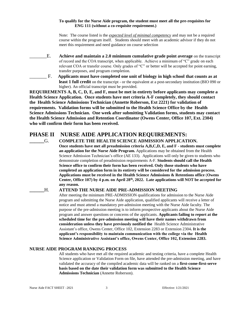#### **To qualify for the Nurse Aide program, the student must meet all the pre-requisites for ENG 111 (without a co-requisite requirement.)**

Note: The course listed is the *expected level of minimal competency* and may not be a required course within the program itself. Students should meet with an academic advisor if they do not meet this requirement and need guidance on course selection

- \_\_\_\_\_\_\_E. **Achieve and maintain a 2.0 minimum cumulative grade point average** on the transcript of record and the COA transcript, when applicable. Achieve a minimum of "C" grade on each relevant COA or transfer course. Only grades of "C" or better will be accepted for point earning, transfer purposes, and program completion.
	- \_\_\_\_\_\_\_ F. **Applicants must have completed one unit of biology in high school that counts as at least 1 full credit** on the transcript - or the equivalent at a post-secondary institution (BIO 090 or higher). An official transcript must be provided.

**REQUIREMENTS A, B, C, D, E, and F, must be met in entirety before applicants may complete a Health Science Application. Once students have met criteria A-F completely, they should contact the Health Science Admissions Technician (Annette Roberson, Ext 2221) for validation of requirements. Validation forms will be submitted to the Health Science Office by the Health Science Admissions Technician. One week after submitting Validation forms, students may contact the Health Science Admission and Retention Coordinator (Owens Center, Office 107, Ext. 2304) who will confirm their form has been received.**

# **PHASE II NURSE AIDE APPLICATION REQUIREMENTS:**

**\_\_\_\_\_\_**G. **COMPLETE THE HEALTH SCIENCE ADMISSION APPLICATION. Once students have met all preadmission criteria A,B,C,D, E, and F - students must complete an application for the Nurse Aide Program.** Applications may be obtained from the Health Science Admission Technician's office (AE 133). Applications will only be given to students who demonstrate completion of preadmission requirements A-F. **Students should call the Health Science office to confirm their form has been received. Only those students who have completed an application form in its entirety will be considered for the admission process. Applications must be received in the Health Science Admissions & Retentions office** (**Owens Center, Office 107) by 4 p.m. on April 28th, 2022. Late applications will NOT be accepted for any reason.**

### **\_\_\_\_\_\_**H. **ATTEND THE NURSE AIDE PRE-ADMISSION MEETING**

After meeting the minimum PRE-ADMISSION qualifications for admission to the Nurse Aide program and submitting the Nurse Aide application, qualified applicants will receive a letter of notice and must attend a mandatory pre-admission meeting with the Nurse Aide faculty. The purpose of the pre-admission meeting is to inform prospective applicants about the Nurse Aide program and answer questions or concerns of the applicants. **Applicants failing to report at the scheduled time for the pre-admission meeting will have their names withdrawn from consideration unless they have previously notified the** Health Science Administrative Assistant's office, Owens Center, Office 102, Extension 2283 or Extension 2304**. It is the applicant's responsibility to maintain communication with the college via the Health Science Administrative Assistant's office, Owens Center, Office 102, Extension 2283.**

#### **NURSE AIDE PROGRAM RANKING PROCESS**

All students who have met all the required academic and testing criteria, have a complete Health Science application or Validation Form on file, have attended the pre-admission meeting, and have validated the accuracy of the compiled academic data will be ranked on a **first-come-first-serve basis based on the date their validation form was submitted to the Health Science Admissions Technician** (Annette Roberson).